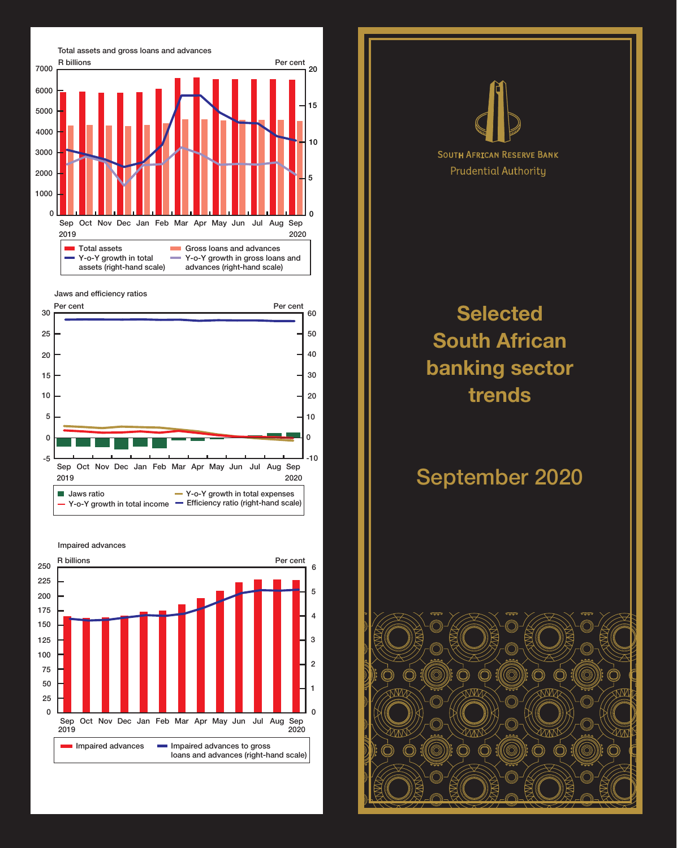